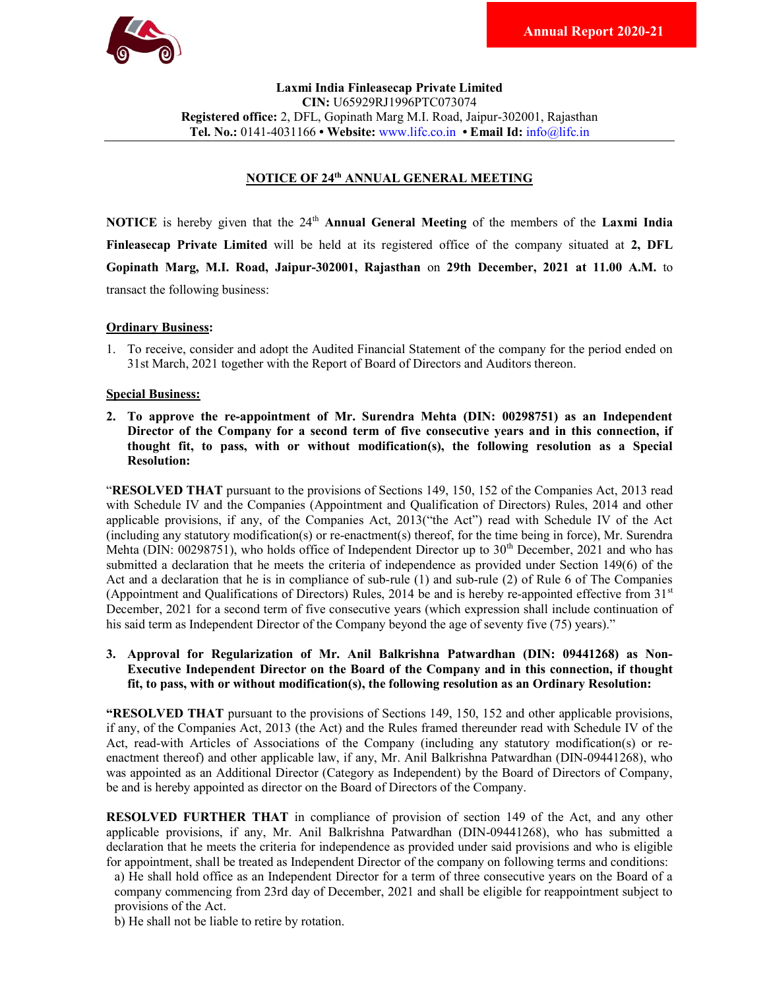

Laxmi India Finleasecap Private Limited CIN: U65929RJ1996PTC073074 Registered office: 2, DFL, Gopinath Marg M.I. Road, Jaipur-302001, Rajasthan Tel. No.: 0141-4031166 • Website: www.lifc.co.in • Email Id: info@lifc.in

# NOTICE OF 24th ANNUAL GENERAL MEETING

**NOTICE** is hereby given that the  $24<sup>th</sup>$  **Annual General Meeting** of the members of the **Laxmi India** Finleasecap Private Limited will be held at its registered office of the company situated at 2, DFL Gopinath Marg, M.I. Road, Jaipur-302001, Rajasthan on 29th December, 2021 at 11.00 A.M. to transact the following business:

#### Ordinary Business:

1. To receive, consider and adopt the Audited Financial Statement of the company for the period ended on 31st March, 2021 together with the Report of Board of Directors and Auditors thereon.

#### Special Business:

2. To approve the re-appointment of Mr. Surendra Mehta (DIN: 00298751) as an Independent Director of the Company for a second term of five consecutive years and in this connection, if thought fit, to pass, with or without modification(s), the following resolution as a Special Resolution:

"RESOLVED THAT pursuant to the provisions of Sections 149, 150, 152 of the Companies Act, 2013 read with Schedule IV and the Companies (Appointment and Qualification of Directors) Rules, 2014 and other applicable provisions, if any, of the Companies Act, 2013("the Act") read with Schedule IV of the Act (including any statutory modification(s) or re-enactment(s) thereof, for the time being in force), Mr. Surendra Mehta (DIN: 00298751), who holds office of Independent Director up to 30<sup>th</sup> December, 2021 and who has submitted a declaration that he meets the criteria of independence as provided under Section 149(6) of the Act and a declaration that he is in compliance of sub-rule (1) and sub-rule (2) of Rule 6 of The Companies (Appointment and Qualifications of Directors) Rules, 2014 be and is hereby re-appointed effective from  $31<sup>st</sup>$ December, 2021 for a second term of five consecutive years (which expression shall include continuation of his said term as Independent Director of the Company beyond the age of seventy five (75) years)."

## 3. Approval for Regularization of Mr. Anil Balkrishna Patwardhan (DIN: 09441268) as Non-Executive Independent Director on the Board of the Company and in this connection, if thought fit, to pass, with or without modification(s), the following resolution as an Ordinary Resolution:

"RESOLVED THAT pursuant to the provisions of Sections 149, 150, 152 and other applicable provisions, if any, of the Companies Act, 2013 (the Act) and the Rules framed thereunder read with Schedule IV of the Act, read-with Articles of Associations of the Company (including any statutory modification(s) or reenactment thereof) and other applicable law, if any, Mr. Anil Balkrishna Patwardhan (DIN-09441268), who was appointed as an Additional Director (Category as Independent) by the Board of Directors of Company, be and is hereby appointed as director on the Board of Directors of the Company.

RESOLVED FURTHER THAT in compliance of provision of section 149 of the Act, and any other applicable provisions, if any, Mr. Anil Balkrishna Patwardhan (DIN-09441268), who has submitted a declaration that he meets the criteria for independence as provided under said provisions and who is eligible for appointment, shall be treated as Independent Director of the company on following terms and conditions:

a) He shall hold office as an Independent Director for a term of three consecutive years on the Board of a company commencing from 23rd day of December, 2021 and shall be eligible for reappointment subject to provisions of the Act.

b) He shall not be liable to retire by rotation.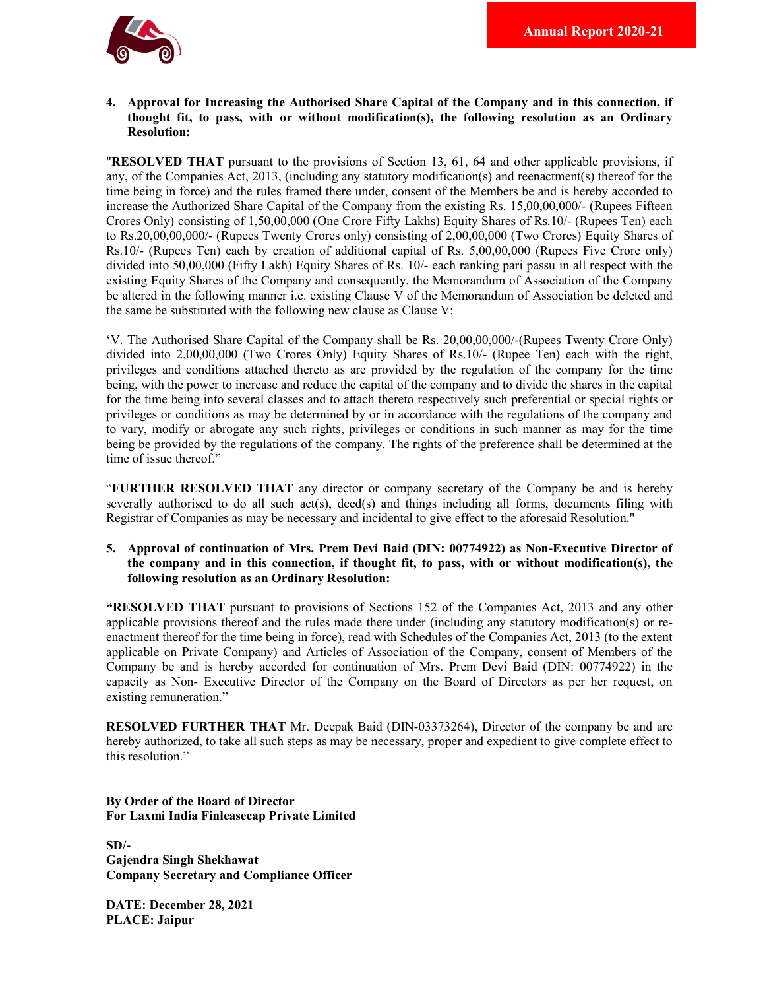

## 4. Approval for Increasing the Authorised Share Capital of the Company and in this connection, if thought fit, to pass, with or without modification(s), the following resolution as an Ordinary Resolution:

"RESOLVED THAT pursuant to the provisions of Section 13, 61, 64 and other applicable provisions, if any, of the Companies Act, 2013, (including any statutory modification(s) and reenactment(s) thereof for the time being in force) and the rules framed there under, consent of the Members be and is hereby accorded to increase the Authorized Share Capital of the Company from the existing Rs. 15,00,00,000/- (Rupees Fifteen Crores Only) consisting of 1,50,00,000 (One Crore Fifty Lakhs) Equity Shares of Rs.10/- (Rupees Ten) each to Rs.20,00,00,000/- (Rupees Twenty Crores only) consisting of 2,00,00,000 (Two Crores) Equity Shares of Rs.10/- (Rupees Ten) each by creation of additional capital of Rs. 5,00,00,000 (Rupees Five Crore only) divided into 50,00,000 (Fifty Lakh) Equity Shares of Rs. 10/- each ranking pari passu in all respect with the existing Equity Shares of the Company and consequently, the Memorandum of Association of the Company be altered in the following manner i.e. existing Clause V of the Memorandum of Association be deleted and the same be substituted with the following new clause as Clause V:

'V. The Authorised Share Capital of the Company shall be Rs. 20,00,00,000/-(Rupees Twenty Crore Only) divided into 2,00,00,000 (Two Crores Only) Equity Shares of Rs.10/- (Rupee Ten) each with the right, privileges and conditions attached thereto as are provided by the regulation of the company for the time being, with the power to increase and reduce the capital of the company and to divide the shares in the capital for the time being into several classes and to attach thereto respectively such preferential or special rights or privileges or conditions as may be determined by or in accordance with the regulations of the company and to vary, modify or abrogate any such rights, privileges or conditions in such manner as may for the time being be provided by the regulations of the company. The rights of the preference shall be determined at the time of issue thereof."

"FURTHER RESOLVED THAT any director or company secretary of the Company be and is hereby severally authorised to do all such act(s), deed(s) and things including all forms, documents filing with Registrar of Companies as may be necessary and incidental to give effect to the aforesaid Resolution."

5. Approval of continuation of Mrs. Prem Devi Baid (DIN: 00774922) as Non-Executive Director of the company and in this connection, if thought fit, to pass, with or without modification(s), the following resolution as an Ordinary Resolution:

"RESOLVED THAT pursuant to provisions of Sections 152 of the Companies Act, 2013 and any other applicable provisions thereof and the rules made there under (including any statutory modification(s) or reenactment thereof for the time being in force), read with Schedules of the Companies Act, 2013 (to the extent applicable on Private Company) and Articles of Association of the Company, consent of Members of the Company be and is hereby accorded for continuation of Mrs. Prem Devi Baid (DIN: 00774922) in the capacity as Non- Executive Director of the Company on the Board of Directors as per her request, on existing remuneration."

RESOLVED FURTHER THAT Mr. Deepak Baid (DIN-03373264), Director of the company be and are hereby authorized, to take all such steps as may be necessary, proper and expedient to give complete effect to this resolution."

## By Order of the Board of Director For Laxmi India Finleasecap Private Limited

 $SD/-$ Gajendra Singh Shekhawat Company Secretary and Compliance Officer

DATE: December 28, 2021 PLACE: Jaipur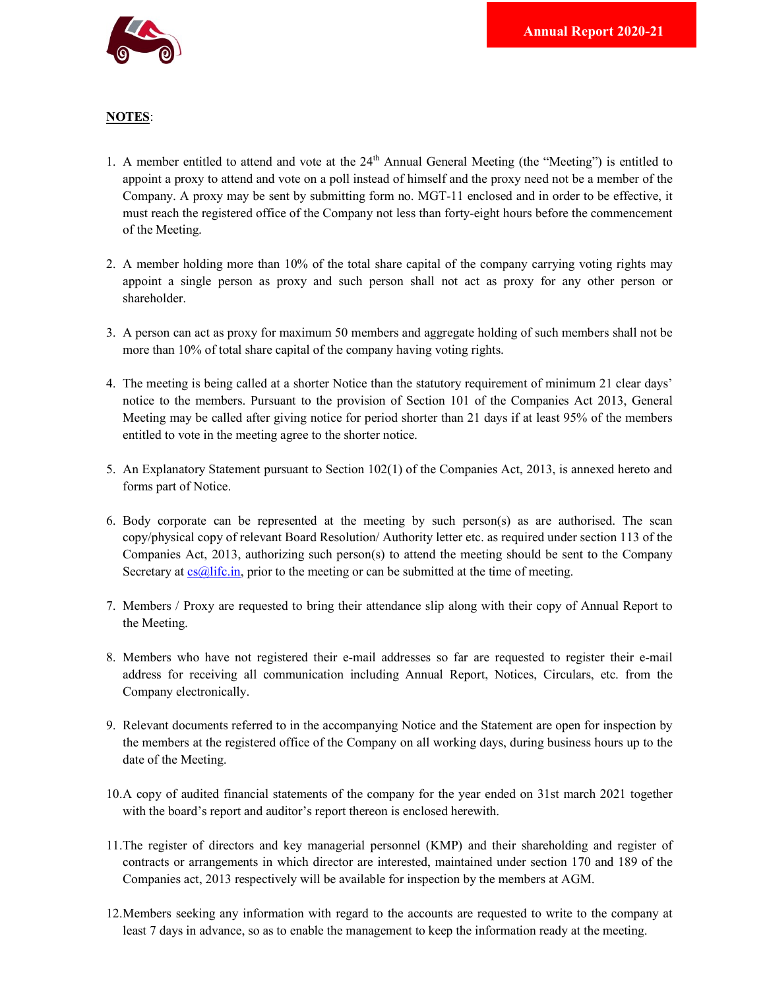

# NOTES:

- 1. A member entitled to attend and vote at the  $24<sup>th</sup>$  Annual General Meeting (the "Meeting") is entitled to appoint a proxy to attend and vote on a poll instead of himself and the proxy need not be a member of the Company. A proxy may be sent by submitting form no. MGT-11 enclosed and in order to be effective, it must reach the registered office of the Company not less than forty-eight hours before the commencement of the Meeting.
- 2. A member holding more than 10% of the total share capital of the company carrying voting rights may appoint a single person as proxy and such person shall not act as proxy for any other person or shareholder.
- 3. A person can act as proxy for maximum 50 members and aggregate holding of such members shall not be more than 10% of total share capital of the company having voting rights.
- 4. The meeting is being called at a shorter Notice than the statutory requirement of minimum 21 clear days' notice to the members. Pursuant to the provision of Section 101 of the Companies Act 2013, General Meeting may be called after giving notice for period shorter than 21 days if at least 95% of the members entitled to vote in the meeting agree to the shorter notice.
- 5. An Explanatory Statement pursuant to Section 102(1) of the Companies Act, 2013, is annexed hereto and forms part of Notice.
- 6. Body corporate can be represented at the meeting by such person(s) as are authorised. The scan copy/physical copy of relevant Board Resolution/ Authority letter etc. as required under section 113 of the Companies Act, 2013, authorizing such person(s) to attend the meeting should be sent to the Company Secretary at  $cs@litc.in$ , prior to the meeting or can be submitted at the time of meeting.
- 7. Members / Proxy are requested to bring their attendance slip along with their copy of Annual Report to the Meeting.
- 8. Members who have not registered their e-mail addresses so far are requested to register their e-mail address for receiving all communication including Annual Report, Notices, Circulars, etc. from the Company electronically.
- 9. Relevant documents referred to in the accompanying Notice and the Statement are open for inspection by the members at the registered office of the Company on all working days, during business hours up to the date of the Meeting.
- 10.A copy of audited financial statements of the company for the year ended on 31st march 2021 together with the board's report and auditor's report thereon is enclosed herewith.
- 11.The register of directors and key managerial personnel (KMP) and their shareholding and register of contracts or arrangements in which director are interested, maintained under section 170 and 189 of the Companies act, 2013 respectively will be available for inspection by the members at AGM.
- 12.Members seeking any information with regard to the accounts are requested to write to the company at least 7 days in advance, so as to enable the management to keep the information ready at the meeting.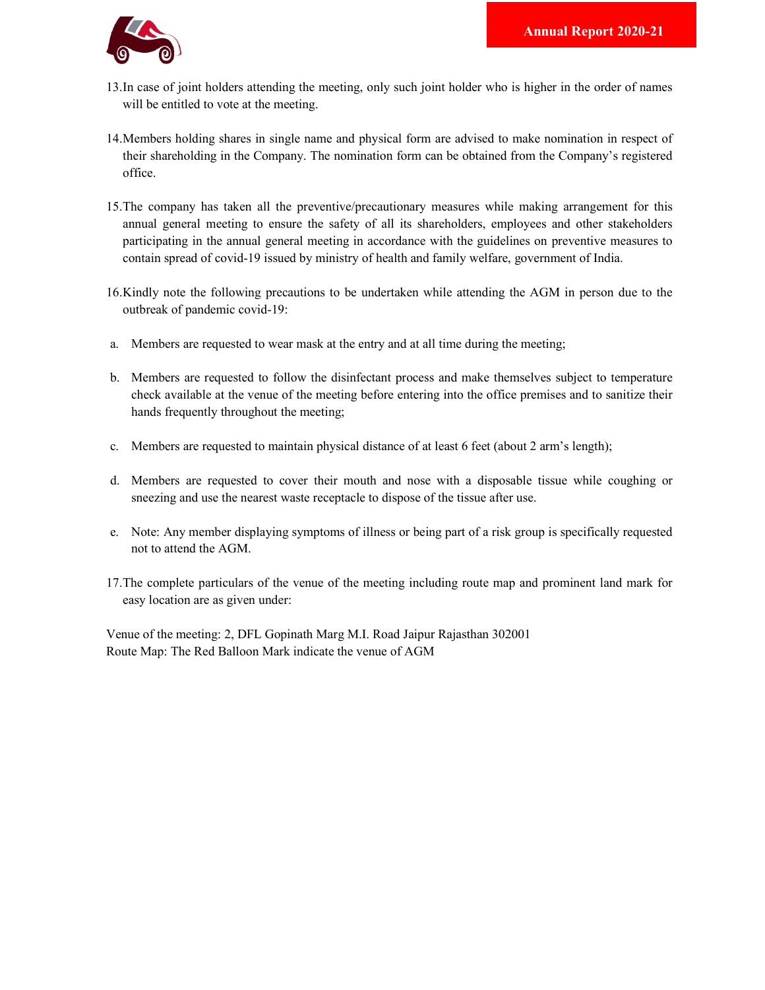

- 13.In case of joint holders attending the meeting, only such joint holder who is higher in the order of names will be entitled to vote at the meeting.
- 14.Members holding shares in single name and physical form are advised to make nomination in respect of their shareholding in the Company. The nomination form can be obtained from the Company's registered office.
- 15.The company has taken all the preventive/precautionary measures while making arrangement for this annual general meeting to ensure the safety of all its shareholders, employees and other stakeholders participating in the annual general meeting in accordance with the guidelines on preventive measures to contain spread of covid-19 issued by ministry of health and family welfare, government of India.
- 16.Kindly note the following precautions to be undertaken while attending the AGM in person due to the outbreak of pandemic covid-19:
- a. Members are requested to wear mask at the entry and at all time during the meeting;
- b. Members are requested to follow the disinfectant process and make themselves subject to temperature check available at the venue of the meeting before entering into the office premises and to sanitize their hands frequently throughout the meeting;
- c. Members are requested to maintain physical distance of at least 6 feet (about 2 arm's length);
- d. Members are requested to cover their mouth and nose with a disposable tissue while coughing or sneezing and use the nearest waste receptacle to dispose of the tissue after use.
- e. Note: Any member displaying symptoms of illness or being part of a risk group is specifically requested not to attend the AGM.
- 17.The complete particulars of the venue of the meeting including route map and prominent land mark for easy location are as given under:

Venue of the meeting: 2, DFL Gopinath Marg M.I. Road Jaipur Rajasthan 302001 Route Map: The Red Balloon Mark indicate the venue of AGM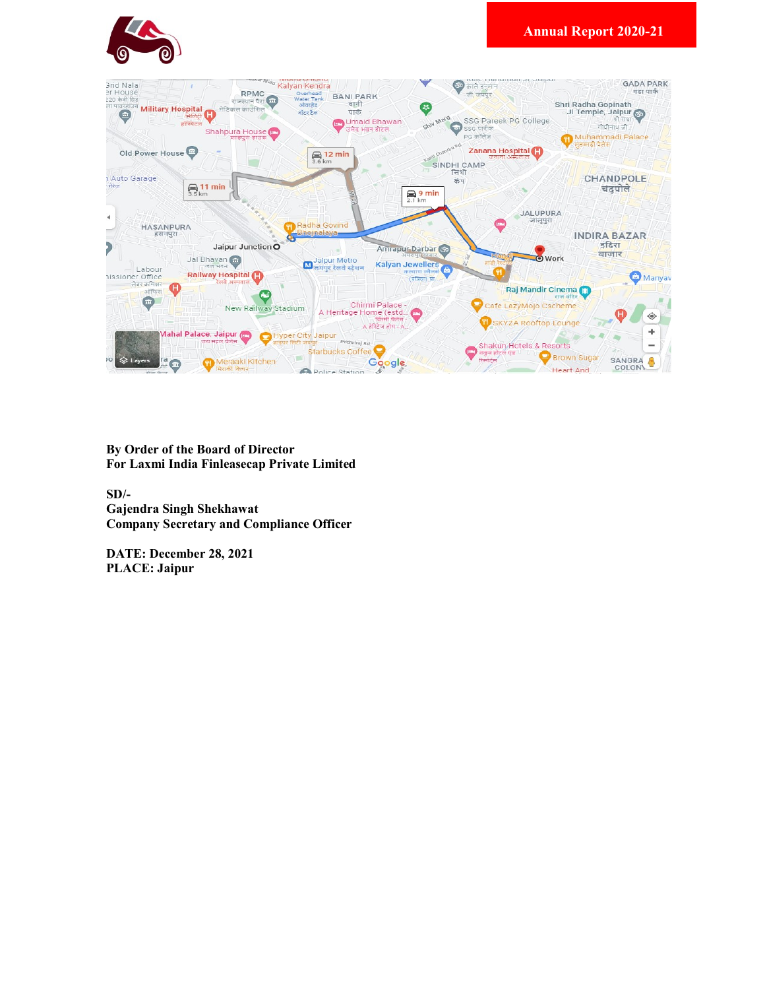



By Order of the Board of Director For Laxmi India Finleasecap Private Limited

SD/- Gajendra Singh Shekhawat Company Secretary and Compliance Officer

DATE: December 28, 2021 PLACE: Jaipur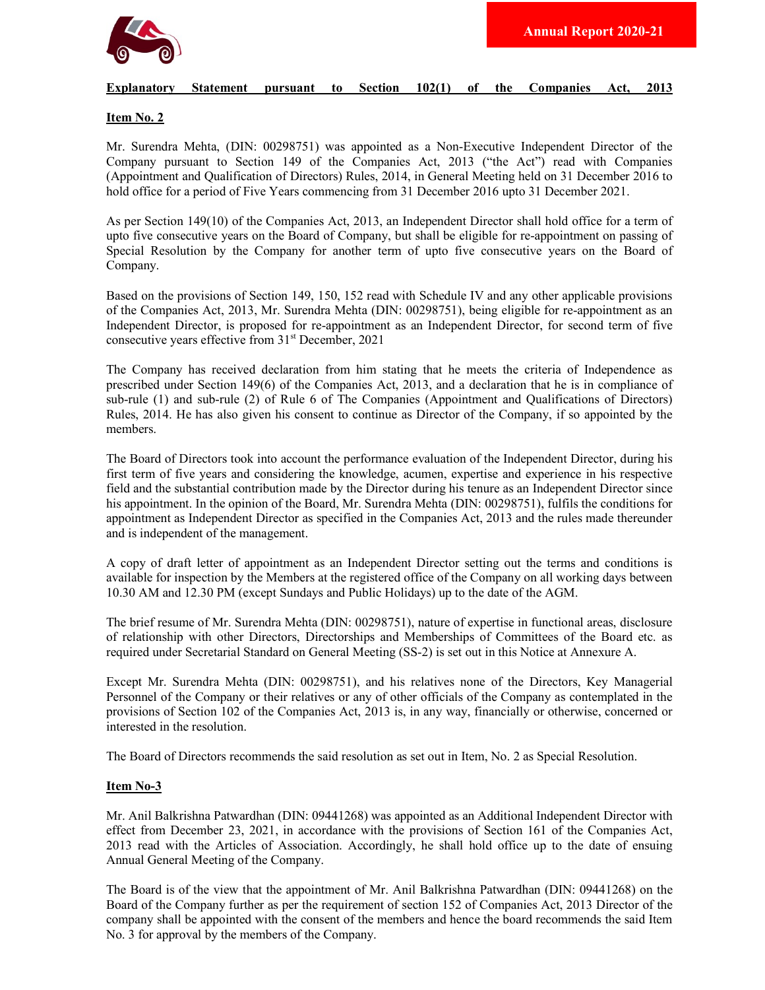

#### Explanatory Statement pursuant to Section 102(1) of the Companies Act, 2013

## Item No. 2

Mr. Surendra Mehta, (DIN: 00298751) was appointed as a Non-Executive Independent Director of the Company pursuant to Section 149 of the Companies Act, 2013 ("the Act") read with Companies (Appointment and Qualification of Directors) Rules, 2014, in General Meeting held on 31 December 2016 to hold office for a period of Five Years commencing from 31 December 2016 upto 31 December 2021.

As per Section 149(10) of the Companies Act, 2013, an Independent Director shall hold office for a term of upto five consecutive years on the Board of Company, but shall be eligible for re-appointment on passing of Special Resolution by the Company for another term of upto five consecutive years on the Board of Company.

Based on the provisions of Section 149, 150, 152 read with Schedule IV and any other applicable provisions of the Companies Act, 2013, Mr. Surendra Mehta (DIN: 00298751), being eligible for re-appointment as an Independent Director, is proposed for re-appointment as an Independent Director, for second term of five consecutive years effective from 31<sup>st</sup> December, 2021

The Company has received declaration from him stating that he meets the criteria of Independence as prescribed under Section 149(6) of the Companies Act, 2013, and a declaration that he is in compliance of sub-rule (1) and sub-rule (2) of Rule 6 of The Companies (Appointment and Qualifications of Directors) Rules, 2014. He has also given his consent to continue as Director of the Company, if so appointed by the members.

The Board of Directors took into account the performance evaluation of the Independent Director, during his first term of five years and considering the knowledge, acumen, expertise and experience in his respective field and the substantial contribution made by the Director during his tenure as an Independent Director since his appointment. In the opinion of the Board, Mr. Surendra Mehta (DIN: 00298751), fulfils the conditions for appointment as Independent Director as specified in the Companies Act, 2013 and the rules made thereunder and is independent of the management.

A copy of draft letter of appointment as an Independent Director setting out the terms and conditions is available for inspection by the Members at the registered office of the Company on all working days between 10.30 AM and 12.30 PM (except Sundays and Public Holidays) up to the date of the AGM.

The brief resume of Mr. Surendra Mehta (DIN: 00298751), nature of expertise in functional areas, disclosure of relationship with other Directors, Directorships and Memberships of Committees of the Board etc. as required under Secretarial Standard on General Meeting (SS-2) is set out in this Notice at Annexure A.

Except Mr. Surendra Mehta (DIN: 00298751), and his relatives none of the Directors, Key Managerial Personnel of the Company or their relatives or any of other officials of the Company as contemplated in the provisions of Section 102 of the Companies Act, 2013 is, in any way, financially or otherwise, concerned or interested in the resolution.

The Board of Directors recommends the said resolution as set out in Item, No. 2 as Special Resolution.

## Item No-3

Mr. Anil Balkrishna Patwardhan (DIN: 09441268) was appointed as an Additional Independent Director with effect from December 23, 2021, in accordance with the provisions of Section 161 of the Companies Act, 2013 read with the Articles of Association. Accordingly, he shall hold office up to the date of ensuing Annual General Meeting of the Company.

The Board is of the view that the appointment of Mr. Anil Balkrishna Patwardhan (DIN: 09441268) on the Board of the Company further as per the requirement of section 152 of Companies Act, 2013 Director of the company shall be appointed with the consent of the members and hence the board recommends the said Item No. 3 for approval by the members of the Company.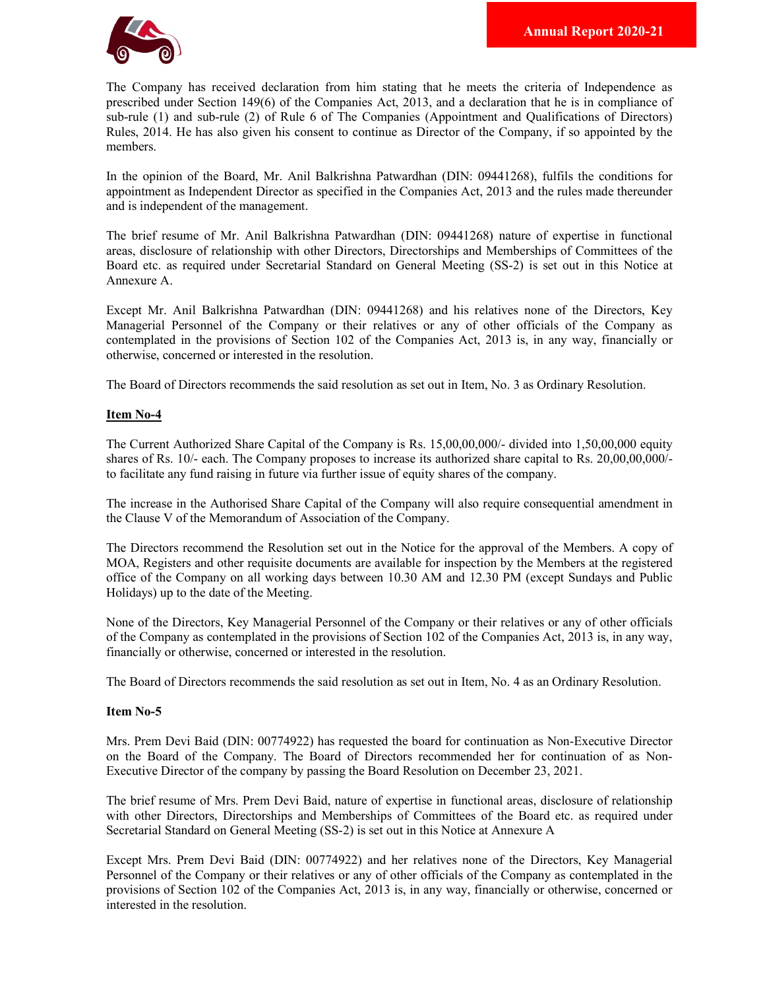

The Company has received declaration from him stating that he meets the criteria of Independence as prescribed under Section 149(6) of the Companies Act, 2013, and a declaration that he is in compliance of sub-rule (1) and sub-rule (2) of Rule 6 of The Companies (Appointment and Qualifications of Directors) Rules, 2014. He has also given his consent to continue as Director of the Company, if so appointed by the members.

In the opinion of the Board, Mr. Anil Balkrishna Patwardhan (DIN: 09441268), fulfils the conditions for appointment as Independent Director as specified in the Companies Act, 2013 and the rules made thereunder and is independent of the management.

The brief resume of Mr. Anil Balkrishna Patwardhan (DIN: 09441268) nature of expertise in functional areas, disclosure of relationship with other Directors, Directorships and Memberships of Committees of the Board etc. as required under Secretarial Standard on General Meeting (SS-2) is set out in this Notice at Annexure A.

Except Mr. Anil Balkrishna Patwardhan (DIN: 09441268) and his relatives none of the Directors, Key Managerial Personnel of the Company or their relatives or any of other officials of the Company as contemplated in the provisions of Section 102 of the Companies Act, 2013 is, in any way, financially or otherwise, concerned or interested in the resolution.

The Board of Directors recommends the said resolution as set out in Item, No. 3 as Ordinary Resolution.

## Item No-4

The Current Authorized Share Capital of the Company is Rs. 15,00,00,000/- divided into 1,50,00,000 equity shares of Rs. 10/- each. The Company proposes to increase its authorized share capital to Rs. 20,00,00,000/ to facilitate any fund raising in future via further issue of equity shares of the company.

The increase in the Authorised Share Capital of the Company will also require consequential amendment in the Clause V of the Memorandum of Association of the Company.

The Directors recommend the Resolution set out in the Notice for the approval of the Members. A copy of MOA, Registers and other requisite documents are available for inspection by the Members at the registered office of the Company on all working days between 10.30 AM and 12.30 PM (except Sundays and Public Holidays) up to the date of the Meeting.

None of the Directors, Key Managerial Personnel of the Company or their relatives or any of other officials of the Company as contemplated in the provisions of Section 102 of the Companies Act, 2013 is, in any way, financially or otherwise, concerned or interested in the resolution.

The Board of Directors recommends the said resolution as set out in Item, No. 4 as an Ordinary Resolution.

# Item No-5

Mrs. Prem Devi Baid (DIN: 00774922) has requested the board for continuation as Non-Executive Director on the Board of the Company. The Board of Directors recommended her for continuation of as Non-Executive Director of the company by passing the Board Resolution on December 23, 2021.

The brief resume of Mrs. Prem Devi Baid, nature of expertise in functional areas, disclosure of relationship with other Directors, Directorships and Memberships of Committees of the Board etc. as required under Secretarial Standard on General Meeting (SS-2) is set out in this Notice at Annexure A

Except Mrs. Prem Devi Baid (DIN: 00774922) and her relatives none of the Directors, Key Managerial Personnel of the Company or their relatives or any of other officials of the Company as contemplated in the provisions of Section 102 of the Companies Act, 2013 is, in any way, financially or otherwise, concerned or interested in the resolution.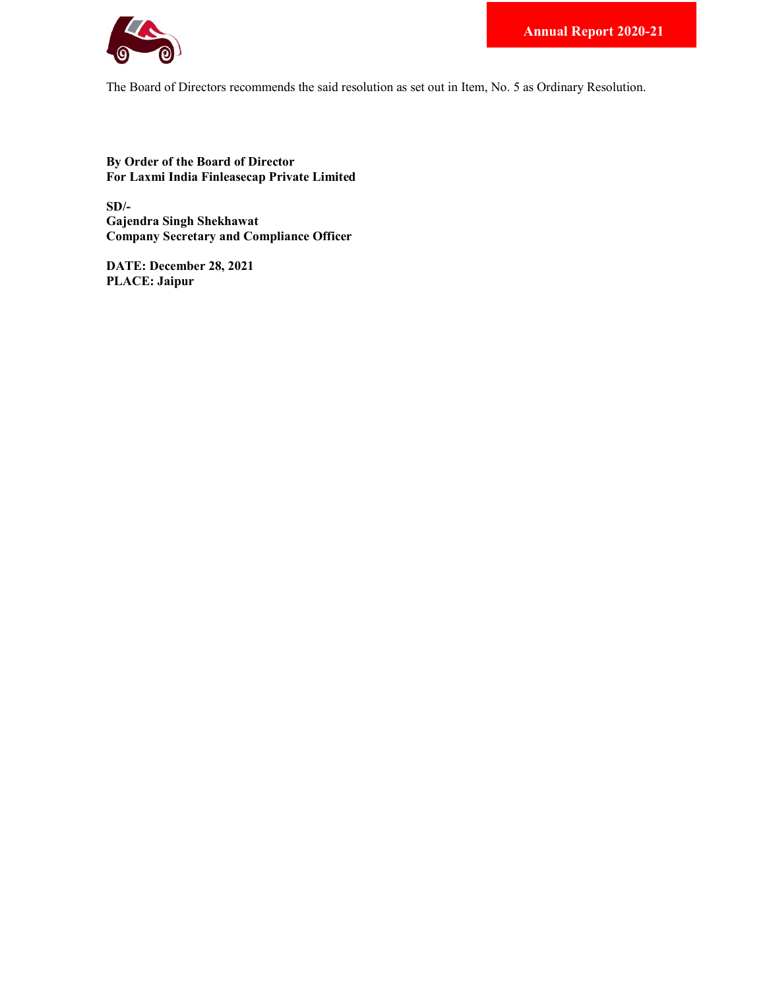

The Board of Directors recommends the said resolution as set out in Item, No. 5 as Ordinary Resolution.

By Order of the Board of Director For Laxmi India Finleasecap Private Limited

SD/- Gajendra Singh Shekhawat Company Secretary and Compliance Officer

DATE: December 28, 2021 PLACE: Jaipur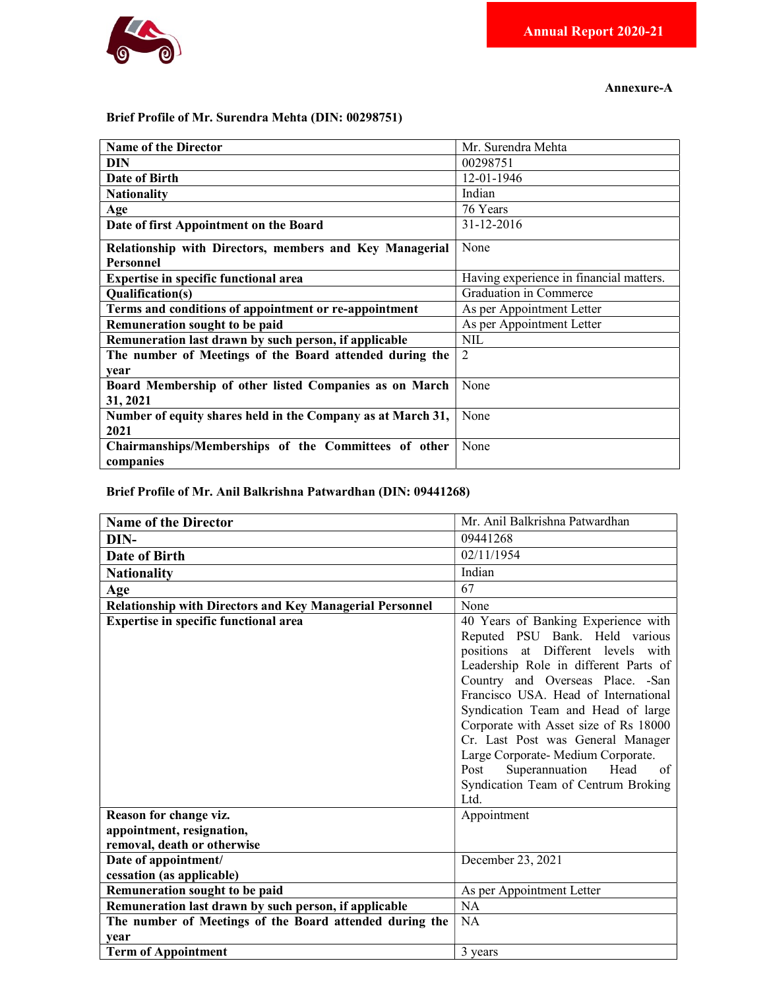

Annexure-A

# Brief Profile of Mr. Surendra Mehta (DIN: 00298751)

| <b>Name of the Director</b>                                 | Mr. Surendra Mehta                      |
|-------------------------------------------------------------|-----------------------------------------|
| DIN                                                         | 00298751                                |
| Date of Birth                                               | 12-01-1946                              |
| <b>Nationality</b>                                          | Indian                                  |
| Age                                                         | 76 Years                                |
| Date of first Appointment on the Board                      | 31-12-2016                              |
| Relationship with Directors, members and Key Managerial     | None                                    |
| <b>Personnel</b>                                            |                                         |
| <b>Expertise in specific functional area</b>                | Having experience in financial matters. |
| Qualification(s)                                            | Graduation in Commerce                  |
| Terms and conditions of appointment or re-appointment       | As per Appointment Letter               |
| Remuneration sought to be paid                              | As per Appointment Letter               |
| Remuneration last drawn by such person, if applicable       | <b>NIL</b>                              |
| The number of Meetings of the Board attended during the     | $\overline{2}$                          |
| vear                                                        |                                         |
| Board Membership of other listed Companies as on March      | None                                    |
| 31, 2021                                                    |                                         |
| Number of equity shares held in the Company as at March 31, | None                                    |
| 2021                                                        |                                         |
| Chairmanships/Memberships of the Committees of other        | None                                    |
| companies                                                   |                                         |

Brief Profile of Mr. Anil Balkrishna Patwardhan (DIN: 09441268)

| <b>Name of the Director</b>                                     | Mr. Anil Balkrishna Patwardhan                                                                                                                                                                                                                                                                                                                                                                                                     |
|-----------------------------------------------------------------|------------------------------------------------------------------------------------------------------------------------------------------------------------------------------------------------------------------------------------------------------------------------------------------------------------------------------------------------------------------------------------------------------------------------------------|
| DIN-                                                            | 09441268                                                                                                                                                                                                                                                                                                                                                                                                                           |
| Date of Birth                                                   | 02/11/1954                                                                                                                                                                                                                                                                                                                                                                                                                         |
| <b>Nationality</b>                                              | Indian                                                                                                                                                                                                                                                                                                                                                                                                                             |
| Age                                                             | 67                                                                                                                                                                                                                                                                                                                                                                                                                                 |
| <b>Relationship with Directors and Key Managerial Personnel</b> | None                                                                                                                                                                                                                                                                                                                                                                                                                               |
| Expertise in specific functional area                           | 40 Years of Banking Experience with<br>Reputed PSU Bank. Held various<br>positions at Different levels with<br>Leadership Role in different Parts of<br>Country and Overseas Place. - San<br>Francisco USA. Head of International<br>Syndication Team and Head of large<br>Corporate with Asset size of Rs 18000<br>Cr. Last Post was General Manager<br>Large Corporate-Medium Corporate.<br>Head<br>Superannuation<br>Post<br>of |
|                                                                 | Syndication Team of Centrum Broking<br>Ltd.                                                                                                                                                                                                                                                                                                                                                                                        |
| Reason for change viz.                                          | Appointment                                                                                                                                                                                                                                                                                                                                                                                                                        |
| appointment, resignation,                                       |                                                                                                                                                                                                                                                                                                                                                                                                                                    |
| removal, death or otherwise                                     |                                                                                                                                                                                                                                                                                                                                                                                                                                    |
| Date of appointment/                                            | December 23, 2021                                                                                                                                                                                                                                                                                                                                                                                                                  |
| cessation (as applicable)                                       |                                                                                                                                                                                                                                                                                                                                                                                                                                    |
| Remuneration sought to be paid                                  | As per Appointment Letter                                                                                                                                                                                                                                                                                                                                                                                                          |
| Remuneration last drawn by such person, if applicable           | NA                                                                                                                                                                                                                                                                                                                                                                                                                                 |
| The number of Meetings of the Board attended during the         | <b>NA</b>                                                                                                                                                                                                                                                                                                                                                                                                                          |
| vear                                                            |                                                                                                                                                                                                                                                                                                                                                                                                                                    |
| <b>Term of Appointment</b>                                      | 3 years                                                                                                                                                                                                                                                                                                                                                                                                                            |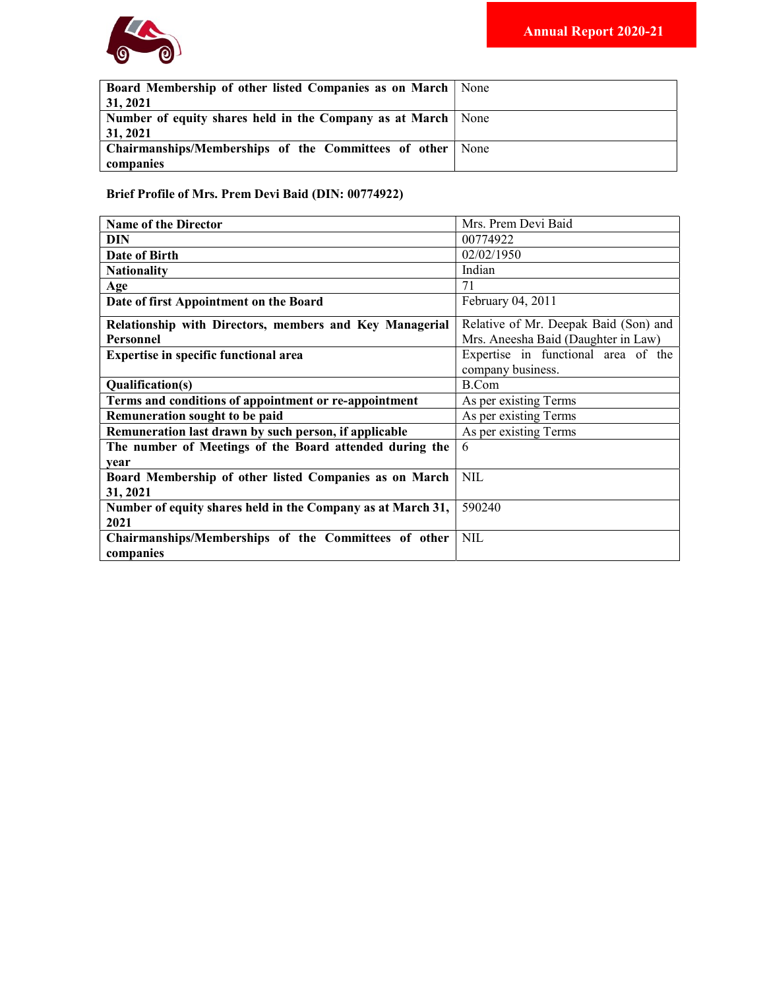

| <b>Board Membership of other listed Companies as on March   None</b> |  |
|----------------------------------------------------------------------|--|
| 31, 2021                                                             |  |
| Number of equity shares held in the Company as at March   None       |  |
| 31, 2021                                                             |  |
| Chairmanships/Memberships of the Committees of other   None          |  |
| companies                                                            |  |

Brief Profile of Mrs. Prem Devi Baid (DIN: 00774922)

| <b>Name of the Director</b>                                 | Mrs. Prem Devi Baid                   |
|-------------------------------------------------------------|---------------------------------------|
| DIN                                                         | 00774922                              |
| Date of Birth                                               | 02/02/1950                            |
| <b>Nationality</b>                                          | Indian                                |
| Age                                                         | 71                                    |
| Date of first Appointment on the Board                      | February 04, 2011                     |
| Relationship with Directors, members and Key Managerial     | Relative of Mr. Deepak Baid (Son) and |
| Personnel                                                   | Mrs. Aneesha Baid (Daughter in Law)   |
| <b>Expertise in specific functional area</b>                | Expertise in functional area of the   |
|                                                             | company business.                     |
| Qualification(s)                                            | <b>B.Com</b>                          |
| Terms and conditions of appointment or re-appointment       | As per existing Terms                 |
| Remuneration sought to be paid                              | As per existing Terms                 |
| Remuneration last drawn by such person, if applicable       | As per existing Terms                 |
| The number of Meetings of the Board attended during the     | 6                                     |
| vear                                                        |                                       |
| Board Membership of other listed Companies as on March      | <b>NIL</b>                            |
| 31, 2021                                                    |                                       |
| Number of equity shares held in the Company as at March 31, | 590240                                |
| 2021                                                        |                                       |
| Chairmanships/Memberships of the Committees of other        | <b>NIL</b>                            |
| companies                                                   |                                       |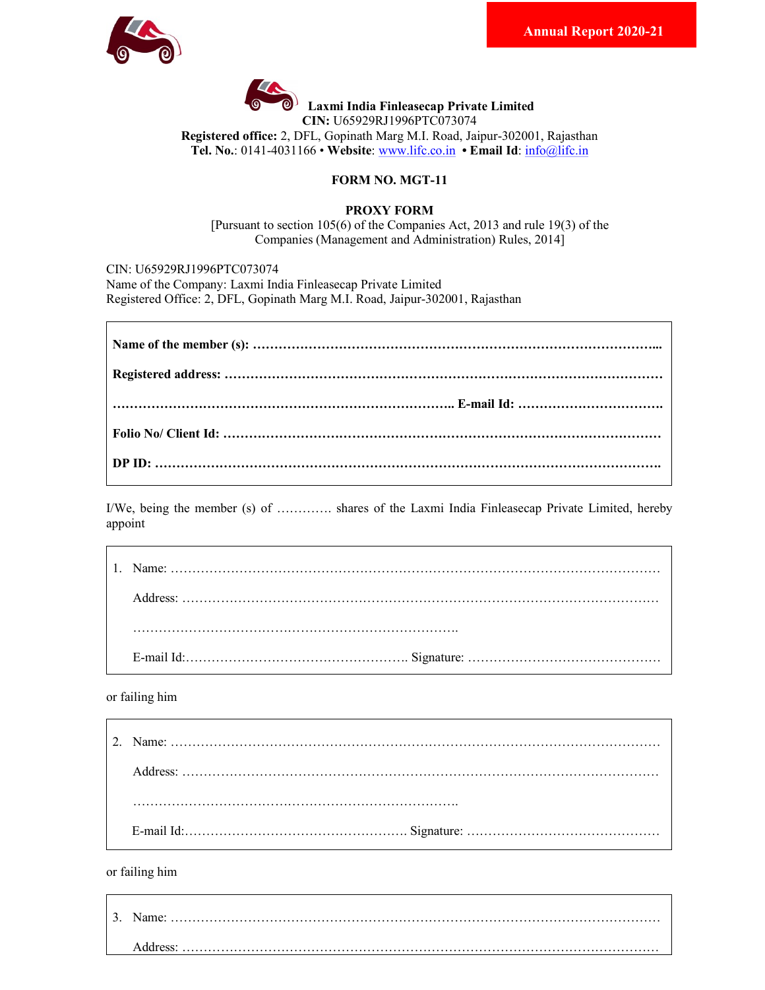



 $\bigcirc$ <sup>)</sup> Laxmi India Finleasecap Private Limited

CIN: U65929RJ1996PTC073074

Registered office: 2, DFL, Gopinath Marg M.I. Road, Jaipur-302001, Rajasthan Tel. No.: 0141-4031166 • Website: www.lifc.co.in • Email Id: info@lifc.in

# FORM NO. MGT-11

## PROXY FORM

[Pursuant to section 105(6) of the Companies Act, 2013 and rule 19(3) of the Companies (Management and Administration) Rules, 2014]

CIN: U65929RJ1996PTC073074 Name of the Company: Laxmi India Finleasecap Private Limited Registered Office: 2, DFL, Gopinath Marg M.I. Road, Jaipur-302001, Rajasthan

I/We, being the member (s) of …………. shares of the Laxmi India Finleasecap Private Limited, hereby appoint

or failing him

or failing him

| 3. Name: |
|----------|
| Address: |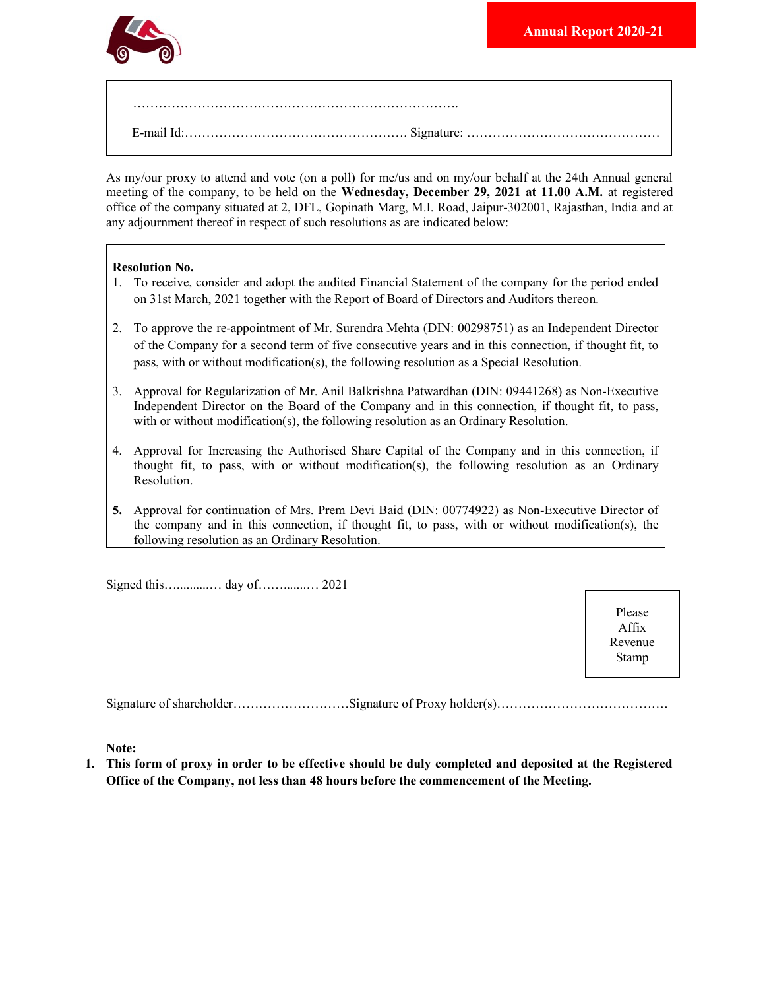

As my/our proxy to attend and vote (on a poll) for me/us and on my/our behalf at the 24th Annual general meeting of the company, to be held on the Wednesday, December 29, 2021 at 11.00 A.M. at registered office of the company situated at 2, DFL, Gopinath Marg, M.I. Road, Jaipur-302001, Rajasthan, India and at any adjournment thereof in respect of such resolutions as are indicated below:

## Resolution No.

- 1. To receive, consider and adopt the audited Financial Statement of the company for the period ended on 31st March, 2021 together with the Report of Board of Directors and Auditors thereon.
- 2. To approve the re-appointment of Mr. Surendra Mehta (DIN: 00298751) as an Independent Director of the Company for a second term of five consecutive years and in this connection, if thought fit, to pass, with or without modification(s), the following resolution as a Special Resolution.
- 3. Approval for Regularization of Mr. Anil Balkrishna Patwardhan (DIN: 09441268) as Non-Executive Independent Director on the Board of the Company and in this connection, if thought fit, to pass, with or without modification(s), the following resolution as an Ordinary Resolution.
- 4. Approval for Increasing the Authorised Share Capital of the Company and in this connection, if thought fit, to pass, with or without modification(s), the following resolution as an Ordinary Resolution.
- 5. Approval for continuation of Mrs. Prem Devi Baid (DIN: 00774922) as Non-Executive Director of the company and in this connection, if thought fit, to pass, with or without modification(s), the following resolution as an Ordinary Resolution.

Signed this…..........… day of…….......… 2021

Please Affix Revenue Stamp

Signature of shareholder………………………Signature of Proxy holder(s)………………………………….

Note:

1. This form of proxy in order to be effective should be duly completed and deposited at the Registered Office of the Company, not less than 48 hours before the commencement of the Meeting.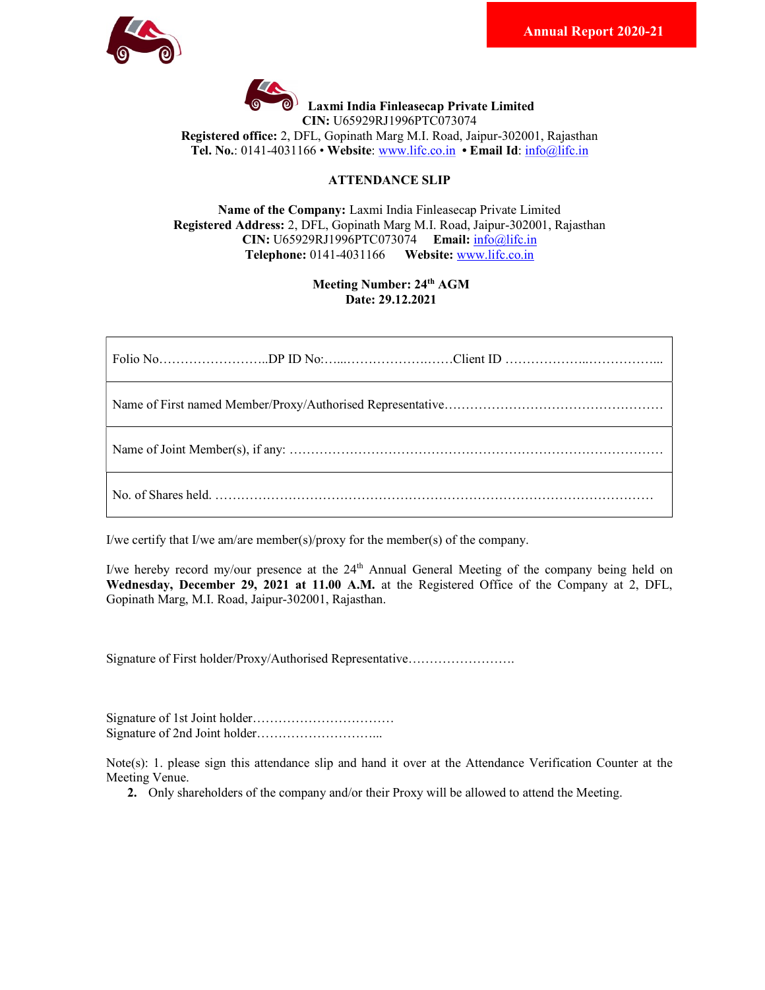



 $\bigcirc$ <sup>1</sup> Laxmi India Finleasecap Private Limited

CIN: U65929RJ1996PTC073074

Registered office: 2, DFL, Gopinath Marg M.I. Road, Jaipur-302001, Rajasthan Tel. No.: 0141-4031166 • Website: www.lifc.co.in • Email Id: info@lifc.in

# ATTENDANCE SLIP

Name of the Company: Laxmi India Finleasecap Private Limited Registered Address: 2, DFL, Gopinath Marg M.I. Road, Jaipur-302001, Rajasthan CIN: U65929RJ1996PTC073074 Email: info@lifc.in Telephone: 0141-4031166 Website: www.lifc.co.in

# Meeting Number: 24<sup>th</sup> AGM Date: 29.12.2021

I/we certify that I/we am/are member(s)/proxy for the member(s) of the company.

I/we hereby record my/our presence at the 24<sup>th</sup> Annual General Meeting of the company being held on Wednesday, December 29, 2021 at 11.00 A.M. at the Registered Office of the Company at 2, DFL, Gopinath Marg, M.I. Road, Jaipur-302001, Rajasthan.

Signature of First holder/Proxy/Authorised Representative…………………….

Signature of 1st Joint holder…………………………… Signature of 2nd Joint holder………………………...

Note(s): 1. please sign this attendance slip and hand it over at the Attendance Verification Counter at the Meeting Venue.

2. Only shareholders of the company and/or their Proxy will be allowed to attend the Meeting.